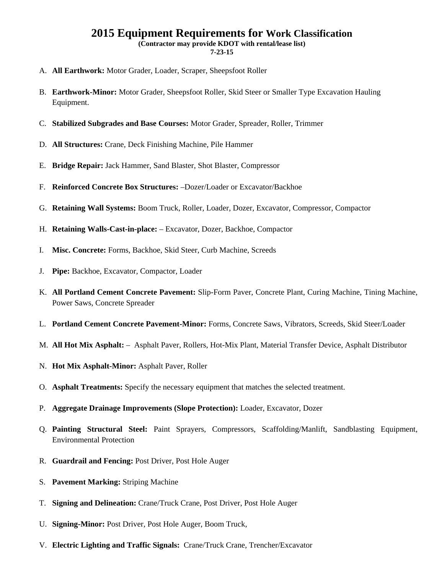## **2015 Equipment Requirements for Work Classification**

**(Contractor may provide KDOT with rental/lease list)** 

**7-23-15** 

- A. **All Earthwork:** Motor Grader, Loader, Scraper, Sheepsfoot Roller
- B. **Earthwork-Minor:** Motor Grader, Sheepsfoot Roller, Skid Steer or Smaller Type Excavation Hauling Equipment.
- C. **Stabilized Subgrades and Base Courses:** Motor Grader, Spreader, Roller, Trimmer
- D. **All Structures:** Crane, Deck Finishing Machine, Pile Hammer
- E. **Bridge Repair:** Jack Hammer, Sand Blaster, Shot Blaster, Compressor
- F. **Reinforced Concrete Box Structures:** –Dozer/Loader or Excavator/Backhoe
- G. **Retaining Wall Systems:** Boom Truck, Roller, Loader, Dozer, Excavator, Compressor, Compactor
- H. **Retaining Walls-Cast-in-place:** Excavator, Dozer, Backhoe, Compactor
- I. **Misc. Concrete:** Forms, Backhoe, Skid Steer, Curb Machine, Screeds
- J. **Pipe:** Backhoe, Excavator, Compactor, Loader
- K. **All Portland Cement Concrete Pavement:** Slip-Form Paver, Concrete Plant, Curing Machine, Tining Machine, Power Saws, Concrete Spreader
- L. **Portland Cement Concrete Pavement-Minor:** Forms, Concrete Saws, Vibrators, Screeds, Skid Steer/Loader
- M. **All Hot Mix Asphalt:** Asphalt Paver, Rollers, Hot-Mix Plant, Material Transfer Device, Asphalt Distributor
- N. **Hot Mix Asphalt-Minor:** Asphalt Paver, Roller
- O. **Asphalt Treatments:** Specify the necessary equipment that matches the selected treatment.
- P. **Aggregate Drainage Improvements (Slope Protection):** Loader, Excavator, Dozer
- Q. **Painting Structural Steel:** Paint Sprayers, Compressors, Scaffolding/Manlift, Sandblasting Equipment, Environmental Protection
- R. **Guardrail and Fencing:** Post Driver, Post Hole Auger
- S. **Pavement Marking:** Striping Machine
- T. **Signing and Delineation:** Crane/Truck Crane, Post Driver, Post Hole Auger
- U. **Signing-Minor:** Post Driver, Post Hole Auger, Boom Truck,
- V. **Electric Lighting and Traffic Signals:** Crane/Truck Crane, Trencher/Excavator